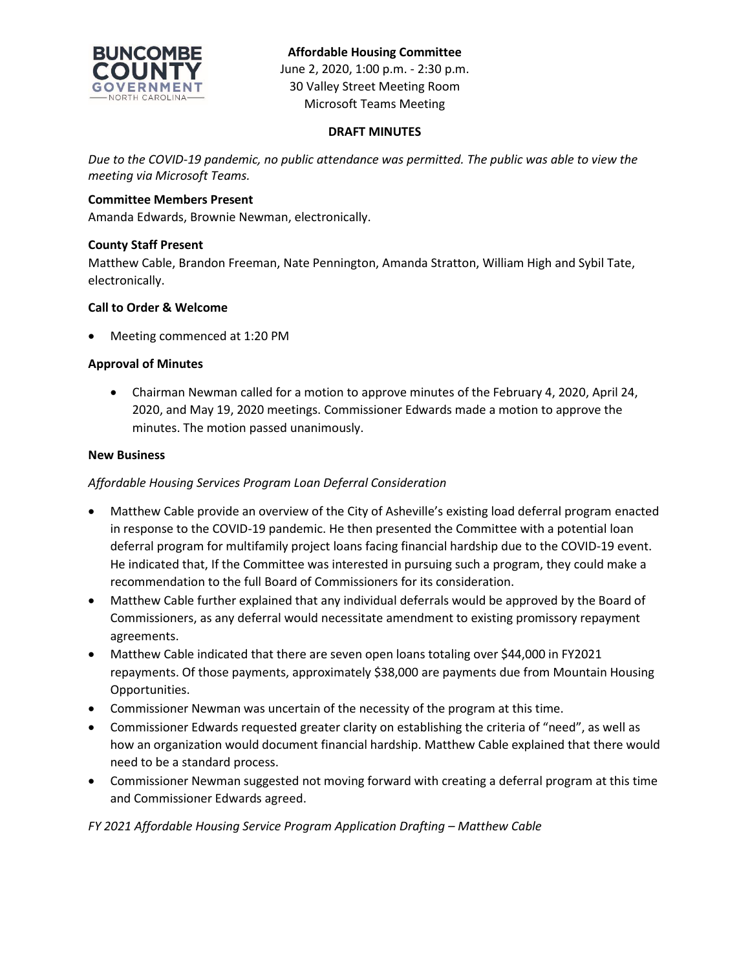

# **Affordable Housing Committee**

June 2, 2020, 1:00 p.m. - 2:30 p.m. 30 Valley Street Meeting Room Microsoft Teams Meeting

### **DRAFT MINUTES**

*Due to the COVID-19 pandemic, no public attendance was permitted. The public was able to view the meeting via Microsoft Teams.*

### **Committee Members Present**

Amanda Edwards, Brownie Newman, electronically.

### **County Staff Present**

Matthew Cable, Brandon Freeman, Nate Pennington, Amanda Stratton, William High and Sybil Tate, electronically.

### **Call to Order & Welcome**

Meeting commenced at 1:20 PM

### **Approval of Minutes**

 Chairman Newman called for a motion to approve minutes of the February 4, 2020, April 24, 2020, and May 19, 2020 meetings. Commissioner Edwards made a motion to approve the minutes. The motion passed unanimously.

#### **New Business**

## *Affordable Housing Services Program Loan Deferral Consideration*

- Matthew Cable provide an overview of the City of Asheville's existing load deferral program enacted in response to the COVID-19 pandemic. He then presented the Committee with a potential loan deferral program for multifamily project loans facing financial hardship due to the COVID-19 event. He indicated that, If the Committee was interested in pursuing such a program, they could make a recommendation to the full Board of Commissioners for its consideration.
- Matthew Cable further explained that any individual deferrals would be approved by the Board of Commissioners, as any deferral would necessitate amendment to existing promissory repayment agreements.
- Matthew Cable indicated that there are seven open loans totaling over \$44,000 in FY2021 repayments. Of those payments, approximately \$38,000 are payments due from Mountain Housing Opportunities.
- Commissioner Newman was uncertain of the necessity of the program at this time.
- Commissioner Edwards requested greater clarity on establishing the criteria of "need", as well as how an organization would document financial hardship. Matthew Cable explained that there would need to be a standard process.
- Commissioner Newman suggested not moving forward with creating a deferral program at this time and Commissioner Edwards agreed.

*FY 2021 Affordable Housing Service Program Application Drafting – Matthew Cable*